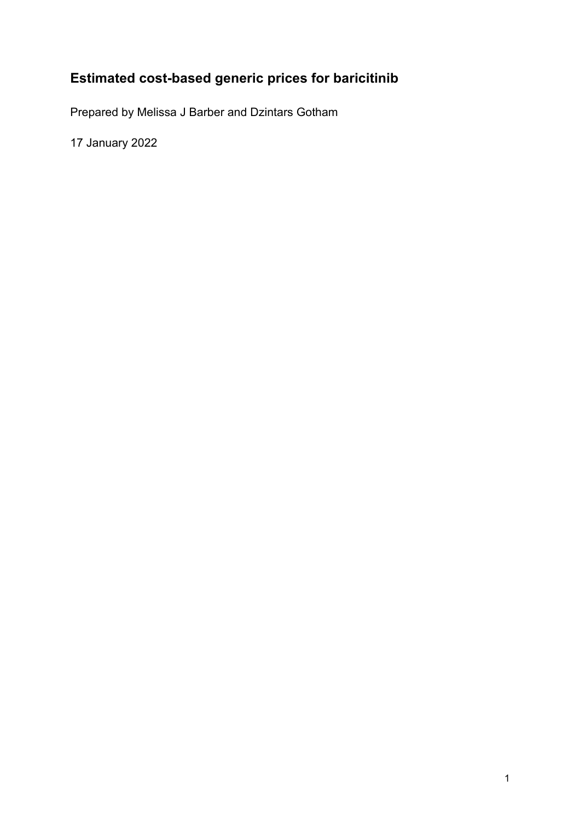# **Estimated cost-based generic prices for baricitinib**

Prepared by Melissa J Barber and Dzintars Gotham

17 January 2022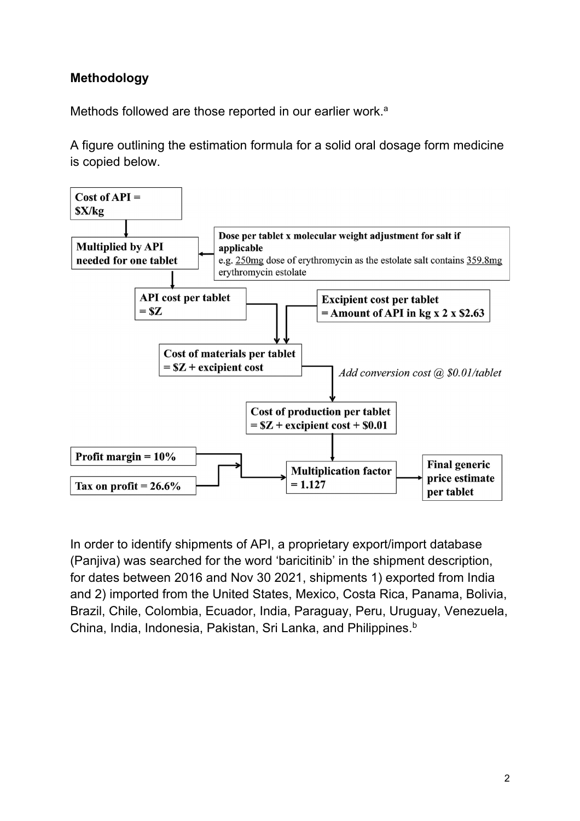#### **Methodology**

Methods followed are those reported in our earlier work.<sup>a</sup>

A figure outlining the estimation formula for a solid oral dosage form medicine is copied below.



In order to identify shipments of API, a proprietary export/import database (Panjiva) was searched for the word 'baricitinib' in the shipment description, for dates between 2016 and Nov 30 2021, shipments 1) exported from India and 2) imported from the United States, Mexico, Costa Rica, Panama, Bolivia, Brazil, Chile, Colombia, Ecuador, India, Paraguay, Peru, Uruguay, Venezuela, China, India, Indonesia, Pakistan, Sri Lanka, and Philippines.<sup>b</sup>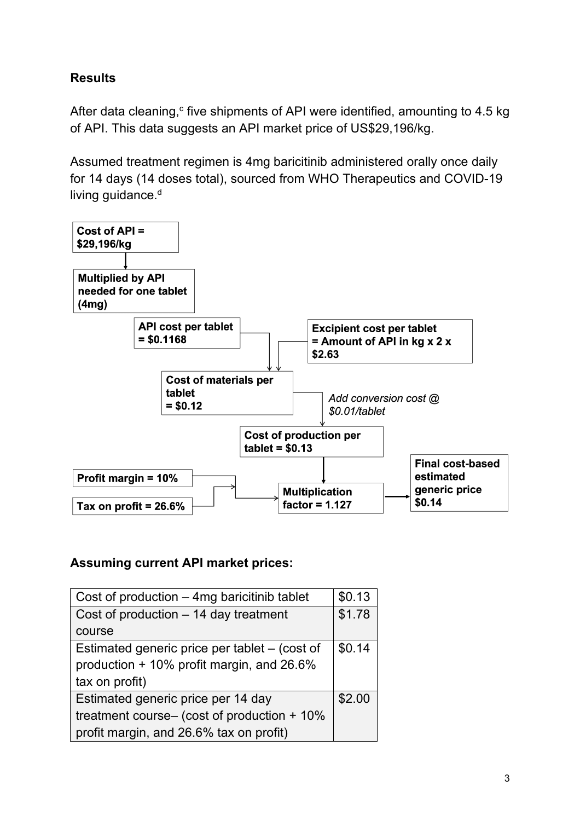### **Results**

After data cleaning, $c$  five shipments of API were identified, amounting to 4.5 kg of API. This data suggests an API market price of US\$29,196/kg.

Assumed treatment regimen is 4mg baricitinib administered orally once daily for 14 days (14 doses total), sourced from WHO Therapeutics and COVID-19 living guidance.<sup>d</sup>



#### **Assuming current API market prices:**

| Cost of production $-$ 4mg baricitinib tablet | \$0.13 |
|-----------------------------------------------|--------|
| Cost of production - 14 day treatment         | \$1.78 |
| course                                        |        |
| Estimated generic price per tablet - (cost of | \$0.14 |
| production + 10% profit margin, and 26.6%     |        |
| tax on profit)                                |        |
| Estimated generic price per 14 day            | \$2.00 |
| treatment course- (cost of production + 10%   |        |
| profit margin, and 26.6% tax on profit)       |        |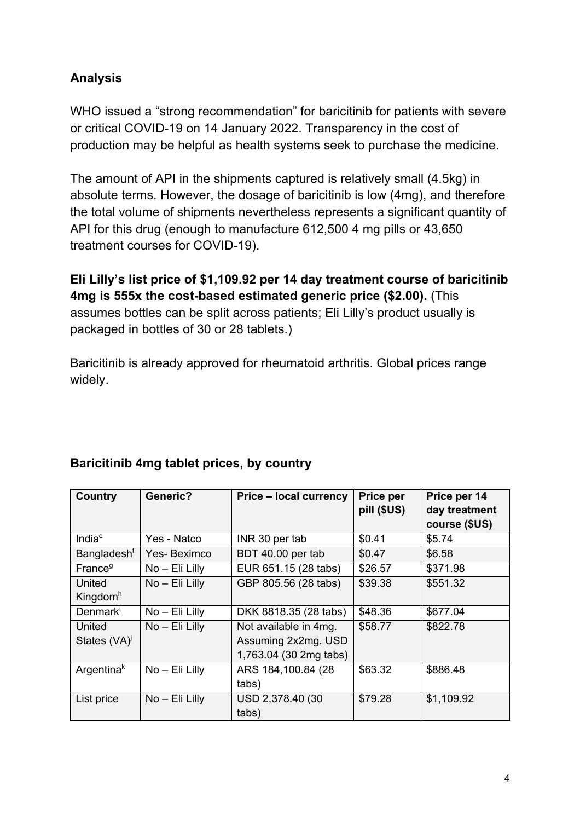## **Analysis**

WHO issued a "strong recommendation" for baricitinib for patients with severe or critical COVID-19 on 14 January 2022. Transparency in the cost of production may be helpful as health systems seek to purchase the medicine.

The amount of API in the shipments captured is relatively small (4.5kg) in absolute terms. However, the dosage of baricitinib is low (4mg), and therefore the total volume of shipments nevertheless represents a significant quantity of API for this drug (enough to manufacture 612,500 4 mg pills or 43,650 treatment courses for COVID-19).

**Eli Lilly's list price of \$1,109.92 per 14 day treatment course of baricitinib 4mg is 555x the cost-based estimated generic price (\$2.00).** (This assumes bottles can be split across patients; Eli Lilly's product usually is packaged in bottles of 30 or 28 tablets.)

Baricitinib is already approved for rheumatoid arthritis. Global prices range widely.

| <b>Country</b>                 | <b>Generic?</b>  | <b>Price - local currency</b>                                          | <b>Price per</b><br>pill (\$US) | Price per 14<br>day treatment<br>course (\$US) |
|--------------------------------|------------------|------------------------------------------------------------------------|---------------------------------|------------------------------------------------|
| India <sup>e</sup>             | Yes - Natco      | INR 30 per tab                                                         | \$0.41                          | \$5.74                                         |
| Bangladesh <sup>t</sup>        | Yes-Beximco      | BDT 40.00 per tab                                                      | \$0.47                          | \$6.58                                         |
| France <sup>9</sup>            | No - Eli Lilly   | EUR 651.15 (28 tabs)                                                   | \$26.57                         | \$371.98                                       |
| United<br>Kingdom <sup>h</sup> | $No$ – Eli Lilly | GBP 805.56 (28 tabs)                                                   | \$39.38                         | \$551.32                                       |
| Denmarki                       | $No$ – Eli Lilly | DKK 8818.35 (28 tabs)                                                  | \$48.36                         | \$677.04                                       |
| United<br>States (VA)          | No - Eli Lilly   | Not available in 4mg.<br>Assuming 2x2mg. USD<br>1,763.04 (30 2mg tabs) | \$58.77                         | \$822.78                                       |
| Argentina <sup>k</sup>         | No - Eli Lilly   | ARS 184, 100.84 (28)<br>tabs)                                          | \$63.32                         | \$886.48                                       |
| List price                     | No - Eli Lilly   | USD 2,378.40 (30<br>tabs)                                              | \$79.28                         | \$1,109.92                                     |

#### **Baricitinib 4mg tablet prices, by country**